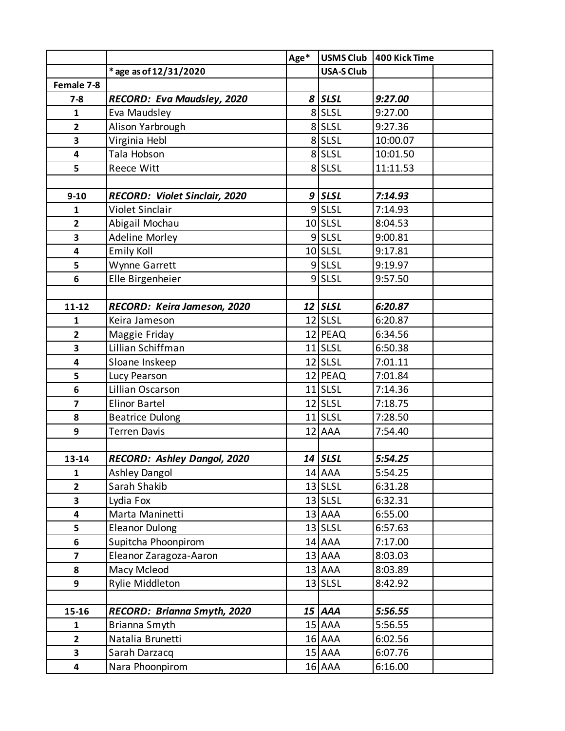|                         |                                      | Age* | <b>USMS Club</b>  | 400 Kick Time |
|-------------------------|--------------------------------------|------|-------------------|---------------|
|                         | * age as of 12/31/2020               |      | <b>USA-S Club</b> |               |
| Female 7-8              |                                      |      |                   |               |
| $7 - 8$                 | RECORD: Eva Maudsley, 2020           |      | 8 SLSL            | 9:27.00       |
| 1                       | Eva Maudsley                         |      | 8 SLSL            | 9:27.00       |
| $\overline{2}$          | Alison Yarbrough                     |      | 8 SLSL            | 9:27.36       |
| 3                       | Virginia Hebl                        |      | 8 SLSL            | 10:00.07      |
| 4                       | Tala Hobson                          |      | 8 SLSL            | 10:01.50      |
| 5                       | <b>Reece Witt</b>                    |      | 8 SLSL            | 11:11.53      |
|                         |                                      |      |                   |               |
| $9 - 10$                | <b>RECORD: Violet Sinclair, 2020</b> |      | $9$ SLSL          | 7:14.93       |
| 1                       | Violet Sinclair                      |      | 9SLSL             | 7:14.93       |
| $\mathbf{2}$            | Abigail Mochau                       |      | $10$ SLSL         | 8:04.53       |
| 3                       | <b>Adeline Morley</b>                |      | $9$ SLSL          | 9:00.81       |
| 4                       | <b>Emily Koll</b>                    |      | $10$ SLSL         | 9:17.81       |
| 5                       | Wynne Garrett                        |      | 9SLSL             | 9:19.97       |
| 6                       | Elle Birgenheier                     |      | 9SLSL             | 9:57.50       |
|                         |                                      |      |                   |               |
| 11-12                   | RECORD: Keira Jameson, 2020          |      | 12 SLSL           | 6:20.87       |
| 1                       | Keira Jameson                        |      | $12$ SLSL         | 6:20.87       |
| $\mathbf{2}$            | Maggie Friday                        |      | 12 PEAQ           | 6:34.56       |
| 3                       | Lillian Schiffman                    |      | $11$ SLSL         | 6:50.38       |
| 4                       | Sloane Inskeep                       |      | $12$ SLSL         | 7:01.11       |
| 5                       | Lucy Pearson                         |      | 12 PEAQ           | 7:01.84       |
| 6                       | Lillian Oscarson                     |      | $11$ SLSL         | 7:14.36       |
| $\overline{7}$          | <b>Elinor Bartel</b>                 |      | $12$ SLSL         | 7:18.75       |
| 8                       | <b>Beatrice Dulong</b>               |      | $11$ SLSL         | 7:28.50       |
| 9                       | Terren Davis                         |      | 12 AAA            | 7:54.40       |
|                         |                                      |      |                   |               |
| 13-14                   | <b>RECORD: Ashley Dangol, 2020</b>   |      | 14 SLSL           | 5:54.25       |
| 1                       | <b>Ashley Dangol</b>                 |      | 14 AAA            | 5:54.25       |
| $\overline{\mathbf{2}}$ | Sarah Shakib                         |      | $13$ SLSL         | 6:31.28       |
| 3                       | Lydia Fox                            |      | $13$ SLSL         | 6:32.31       |
| 4                       | Marta Maninetti                      |      | 13 AAA            | 6:55.00       |
| 5                       | <b>Eleanor Dulong</b>                |      | $13$ SLSL         | 6:57.63       |
| 6                       | Supitcha Phoonpirom                  |      | 14 AAA            | 7:17.00       |
| 7                       | Eleanor Zaragoza-Aaron               |      | 13 AAA            | 8:03.03       |
| 8                       | Macy Mcleod                          |      | 13 AAA            | 8:03.89       |
| 9                       | Rylie Middleton                      |      | $13$ SLSL         | 8:42.92       |
|                         |                                      |      |                   |               |
| 15-16                   | RECORD: Brianna Smyth, 2020          |      | 15 AAA            | 5:56.55       |
| 1                       | Brianna Smyth                        |      | 15 AAA            | 5:56.55       |
| $\mathbf{2}$            | Natalia Brunetti                     |      | 16 AAA            | 6:02.56       |
| 3                       | Sarah Darzacq                        |      | 15 AAA            | 6:07.76       |
| 4                       | Nara Phoonpirom                      |      | 16 AAA            | 6:16.00       |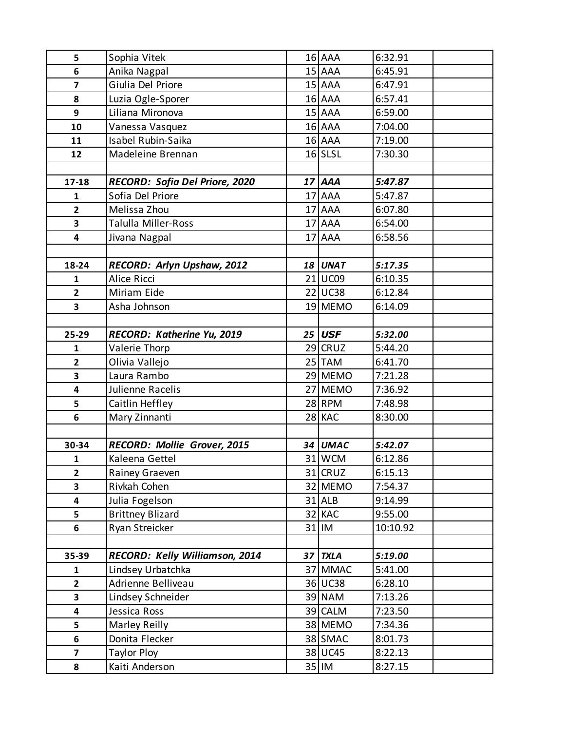| 5                       | Sophia Vitek                   |    | 16 AAA        | 6:32.91  |
|-------------------------|--------------------------------|----|---------------|----------|
| 6                       | Anika Nagpal                   |    | 15 AAA        | 6:45.91  |
| $\overline{\mathbf{z}}$ | Giulia Del Priore              |    | $15$ $AAA$    | 6:47.91  |
| 8                       | Luzia Ogle-Sporer              |    | 16 AAA        | 6:57.41  |
| 9                       | Liliana Mironova               |    | 15 AAA        | 6:59.00  |
| 10                      | Vanessa Vasquez                |    | 16 AAA        | 7:04.00  |
| 11                      | Isabel Rubin-Saika             |    | 16 AAA        | 7:19.00  |
| 12                      | Madeleine Brennan              |    | $16$ SLSL     | 7:30.30  |
|                         |                                |    |               |          |
| 17-18                   | RECORD: Sofia Del Priore, 2020 |    | 17 AAA        | 5:47.87  |
| 1                       | Sofia Del Priore               |    | 17 AAA        | 5:47.87  |
| $\overline{2}$          | Melissa Zhou                   |    | 17 AAA        | 6:07.80  |
| 3                       | Talulla Miller-Ross            |    | 17 AAA        | 6:54.00  |
| 4                       | Jivana Nagpal                  |    | 17 AAA        | 6:58.56  |
|                         |                                |    |               |          |
| 18-24                   | RECORD: Arlyn Upshaw, 2012     | 18 | <b>UNAT</b>   | 5:17.35  |
| $\mathbf{1}$            | Alice Ricci                    |    | 21 UC09       | 6:10.35  |
| $\overline{2}$          | Miriam Eide                    |    | 22 UC38       | 6:12.84  |
| 3                       | Asha Johnson                   |    | 19 MEMO       | 6:14.09  |
|                         |                                |    |               |          |
| 25-29                   | RECORD: Katherine Yu, 2019     |    | $25$ USF      | 5:32.00  |
| $\mathbf{1}$            | Valerie Thorp                  |    | $29$ CRUZ     | 5:44.20  |
| $\mathbf{2}$            | Olivia Vallejo                 |    | 25 TAM        | 6:41.70  |
| 3                       | Laura Rambo                    |    | 29 MEMO       | 7:21.28  |
| 4                       | Julienne Racelis               |    | 27 MEMO       | 7:36.92  |
| 5                       | Caitlin Heffley                |    | $28$ RPM      | 7:48.98  |
| 6                       | Mary Zinnanti                  |    | 28 KAC        | 8:30.00  |
|                         |                                |    |               |          |
| 30-34                   | RECORD: Mollie Grover, 2015    |    | 34 UMAC       | 5:42.07  |
| $\mathbf{1}$            | Kaleena Gettel                 |    | 31 WCM        | 6:12.86  |
| $\mathbf{2}$            | Rainey Graeven                 |    | 31 CRUZ       | 6:15.13  |
| 3                       | Rivkah Cohen                   |    | 32 MEMO       | 7:54.37  |
| 4                       | Julia Fogelson                 |    | <b>31 ALB</b> | 9:14.99  |
| 5                       | <b>Brittney Blizard</b>        |    | 32 KAC        | 9:55.00  |
| 6                       | Ryan Streicker                 |    | 31 IM         | 10:10.92 |
|                         |                                |    |               |          |
| 35-39                   | RECORD: Kelly Williamson, 2014 | 37 | <b>TXLA</b>   | 5:19.00  |
| $\mathbf 1$             | Lindsey Urbatchka              |    | 37 MMAC       | 5:41.00  |
| $\mathbf{2}$            | Adrienne Belliveau             |    | 36 UC38       | 6:28.10  |
| 3                       | Lindsey Schneider              |    | <b>39 NAM</b> | 7:13.26  |
| 4                       | Jessica Ross                   |    | 39 CALM       | 7:23.50  |
| 5                       | Marley Reilly                  |    | 38 MEMO       | 7:34.36  |
| 6                       | Donita Flecker                 |    | 38 SMAC       | 8:01.73  |
| $\overline{\mathbf{z}}$ | <b>Taylor Ploy</b>             |    | 38 UC45       | 8:22.13  |
| 8                       | Kaiti Anderson                 |    | 35 IM         | 8:27.15  |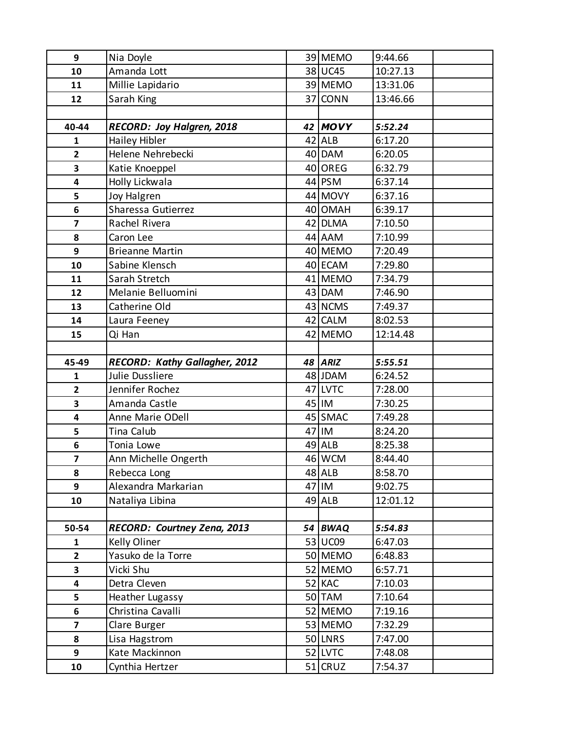| 9                       | Nia Doyle                            | 39 MEMO        | 9:44.66  |
|-------------------------|--------------------------------------|----------------|----------|
| 10                      | Amanda Lott                          | 38 UC45        | 10:27.13 |
| 11                      | Millie Lapidario                     | 39 MEMO        | 13:31.06 |
| 12                      | Sarah King                           | 37 CONN        | 13:46.66 |
|                         |                                      |                |          |
| 40-44                   | RECORD: Joy Halgren, 2018            | 42 MOVY        | 5:52.24  |
| 1                       | Hailey Hibler                        | 42 ALB         | 6:17.20  |
| $\overline{2}$          | Helene Nehrebecki                    | 40 DAM         | 6:20.05  |
| 3                       | Katie Knoeppel                       | 40 OREG        | 6:32.79  |
| 4                       | Holly Lickwala                       | $44$ PSM       | 6:37.14  |
| 5                       | Joy Halgren                          | 44 MOVY        | 6:37.16  |
| 6                       | Sharessa Gutierrez                   | 40 OMAH        | 6:39.17  |
| $\overline{\mathbf{z}}$ | Rachel Rivera                        | 42 DLMA        | 7:10.50  |
| 8                       | Caron Lee                            | 44 AAM         | 7:10.99  |
| 9                       | <b>Brieanne Martin</b>               | 40 MEMO        | 7:20.49  |
| 10                      | Sabine Klensch                       | 40 ECAM        | 7:29.80  |
| 11                      | Sarah Stretch                        | 41 MEMO        | 7:34.79  |
| 12                      | Melanie Belluomini                   | 43 DAM         | 7:46.90  |
| 13                      | Catherine Old                        | 43 NCMS        | 7:49.37  |
| 14                      | Laura Feeney                         | 42 CALM        | 8:02.53  |
| 15                      | Qi Han                               | 42 MEMO        | 12:14.48 |
|                         |                                      |                |          |
| 45-49                   | <b>RECORD: Kathy Gallagher, 2012</b> | 48 ARIZ        | 5:55.51  |
| $\mathbf{1}$            | Julie Dussliere                      | 48 JDAM        | 6:24.52  |
| $\overline{2}$          | Jennifer Rochez                      | 47 LVTC        | 7:28.00  |
| 3                       | Amanda Castle                        | 45 IM          | 7:30.25  |
| 4                       | Anne Marie ODell                     | 45 SMAC        | 7:49.28  |
| 5                       | Tina Calub                           | 47 IM          | 8:24.20  |
| 6                       | Tonia Lowe                           | 49 ALB         | 8:25.38  |
| $\overline{\mathbf{z}}$ | Ann Michelle Ongerth                 | 46 WCM         | 8:44.40  |
| 8                       | Rebecca Long                         | 48 ALB         | 8:58.70  |
| 9                       | Alexandra Markarian                  | 47 IM          | 9:02.75  |
| 10                      | Nataliya Libina                      | 49 ALB         | 12:01.12 |
|                         |                                      |                |          |
| 50-54                   | RECORD: Courtney Zena, 2013          | 54 BWAQ        | 5:54.83  |
| 1                       | Kelly Oliner                         | 53 UC09        | 6:47.03  |
| $\overline{\mathbf{2}}$ | Yasuko de la Torre                   | 50 MEMO        | 6:48.83  |
| 3                       | Vicki Shu                            | 52 MEMO        | 6:57.71  |
| 4                       | Detra Cleven                         | 52 KAC         | 7:10.03  |
| 5                       | Heather Lugassy                      | 50 TAM         | 7:10.64  |
| 6                       | Christina Cavalli                    | 52 MEMO        | 7:19.16  |
| $\overline{\mathbf{z}}$ | Clare Burger                         | 53 MEMO        | 7:32.29  |
| 8                       | Lisa Hagstrom                        | <b>50 LNRS</b> | 7:47.00  |
| 9                       | Kate Mackinnon                       | 52 LVTC        | 7:48.08  |
| 10                      | Cynthia Hertzer                      | 51 CRUZ        | 7:54.37  |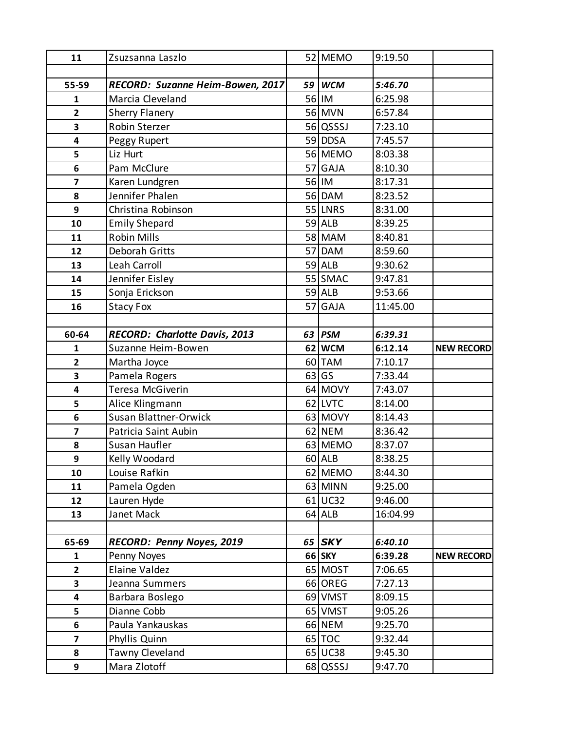| 11                      | Zsuzsanna Laszlo                 |    | 52 MEMO    | 9:19.50  |                   |
|-------------------------|----------------------------------|----|------------|----------|-------------------|
|                         |                                  |    |            |          |                   |
| 55-59                   | RECORD: Suzanne Heim-Bowen, 2017 | 59 | <b>WCM</b> | 5:46.70  |                   |
| 1                       | Marcia Cleveland                 |    | 56 IM      | 6:25.98  |                   |
| $\overline{2}$          | <b>Sherry Flanery</b>            |    | 56 MVN     | 6:57.84  |                   |
| 3                       | Robin Sterzer                    |    | 56 QSSSJ   | 7:23.10  |                   |
| 4                       | Peggy Rupert                     |    | 59 DDSA    | 7:45.57  |                   |
| 5                       | Liz Hurt                         |    | 56 MEMO    | 8:03.38  |                   |
| 6                       | Pam McClure                      |    | 57 GAJA    | 8:10.30  |                   |
| $\overline{\mathbf{z}}$ | Karen Lundgren                   |    | 56 IM      | 8:17.31  |                   |
| 8                       | Jennifer Phalen                  |    | 56 DAM     | 8:23.52  |                   |
| 9                       | Christina Robinson               |    | 55 LNRS    | 8:31.00  |                   |
| 10                      | <b>Emily Shepard</b>             |    | 59 ALB     | 8:39.25  |                   |
| 11                      | <b>Robin Mills</b>               |    | 58 MAM     | 8:40.81  |                   |
| 12                      | <b>Deborah Gritts</b>            |    | 57 DAM     | 8:59.60  |                   |
| 13                      | Leah Carroll                     |    | 59 ALB     | 9:30.62  |                   |
| 14                      | Jennifer Eisley                  |    | 55 SMAC    | 9:47.81  |                   |
| 15                      | Sonja Erickson                   |    | 59 ALB     | 9:53.66  |                   |
| 16                      | <b>Stacy Fox</b>                 |    | 57 GAJA    | 11:45.00 |                   |
|                         |                                  |    |            |          |                   |
| 60-64                   | RECORD: Charlotte Davis, 2013    |    | $63$ PSM   | 6:39.31  |                   |
| $\mathbf{1}$            | Suzanne Heim-Bowen               |    | 62 WCM     | 6:12.14  | <b>NEW RECORD</b> |
| $\mathbf{2}$            | Martha Joyce                     |    | 60 TAM     | 7:10.17  |                   |
| 3                       | Pamela Rogers                    |    | $63$ GS    | 7:33.44  |                   |
| 4                       | Teresa McGiverin                 |    | 64 MOVY    | 7:43.07  |                   |
| 5                       | Alice Klingmann                  |    | 62 LVTC    | 8:14.00  |                   |
| 6                       | Susan Blattner-Orwick            |    | 63 MOVY    | 8:14.43  |                   |
| $\overline{\mathbf{z}}$ | Patricia Saint Aubin             |    | 62 NEM     | 8:36.42  |                   |
| 8                       | Susan Haufler                    |    | 63 MEMO    | 8:37.07  |                   |
| 9                       | Kelly Woodard                    |    | 60 ALB     | 8:38.25  |                   |
| 10                      | Louise Rafkin                    |    | 62 MEMO    | 8:44.30  |                   |
| 11                      | Pamela Ogden                     |    | 63 MINN    | 9:25.00  |                   |
| 12                      | Lauren Hyde                      |    | $61$ UC32  | 9:46.00  |                   |
| 13                      | Janet Mack                       |    | 64 ALB     | 16:04.99 |                   |
|                         |                                  |    |            |          |                   |
| 65-69                   | RECORD: Penny Noyes, 2019        |    | $65$ SKY   | 6:40.10  |                   |
| $\mathbf{1}$            | Penny Noyes                      |    | 66 SKY     | 6:39.28  | <b>NEW RECORD</b> |
| $\overline{2}$          | Elaine Valdez                    |    | 65 MOST    | 7:06.65  |                   |
| 3                       | Jeanna Summers                   |    | 66 OREG    | 7:27.13  |                   |
| 4                       | Barbara Boslego                  |    | 69 VMST    | 8:09.15  |                   |
| 5                       | Dianne Cobb                      |    | 65 VMST    | 9:05.26  |                   |
| 6                       | Paula Yankauskas                 |    | 66 NEM     | 9:25.70  |                   |
| $\overline{\mathbf{z}}$ | Phyllis Quinn                    |    | $65$ TOC   | 9:32.44  |                   |
| 8                       | Tawny Cleveland                  |    | 65 UC38    | 9:45.30  |                   |
| 9                       | Mara Zlotoff                     |    | 68 QSSSJ   | 9:47.70  |                   |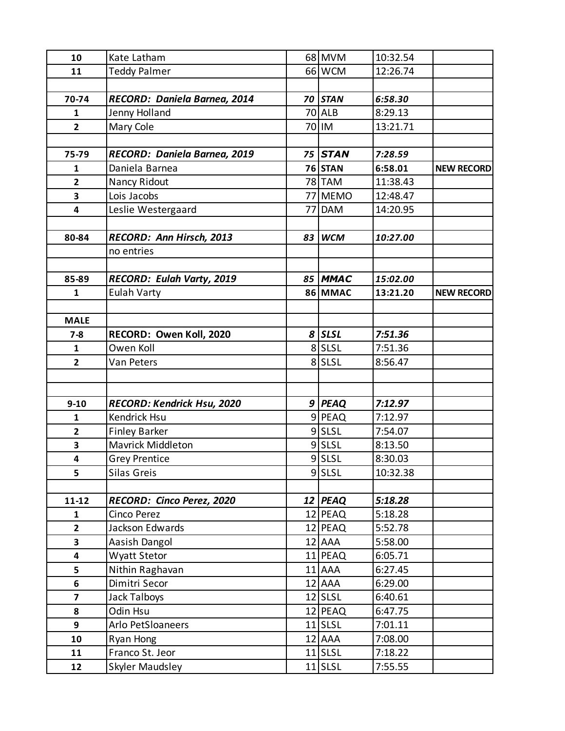| 10                      | Kate Latham                  | 68 MVM        | 10:32.54 |                   |
|-------------------------|------------------------------|---------------|----------|-------------------|
| 11                      | Teddy Palmer                 | 66 WCM        | 12:26.74 |                   |
|                         |                              |               |          |                   |
| 70-74                   | RECORD: Daniela Barnea, 2014 | 70 STAN       | 6:58.30  |                   |
| 1                       | Jenny Holland                | <b>70 ALB</b> | 8:29.13  |                   |
| $\overline{2}$          | Mary Cole                    | 70 IM         | 13:21.71 |                   |
|                         |                              |               |          |                   |
| 75-79                   | RECORD: Daniela Barnea, 2019 | 75 STAN       | 7:28.59  |                   |
| 1                       | Daniela Barnea               | 76 STAN       | 6:58.01  | <b>NEW RECORD</b> |
| $\overline{2}$          | Nancy Ridout                 | 78 TAM        | 11:38.43 |                   |
| 3                       | Lois Jacobs                  | 77 MEMO       | 12:48.47 |                   |
| 4                       | Leslie Westergaard           | 77 DAM        | 14:20.95 |                   |
|                         |                              |               |          |                   |
| 80-84                   | RECORD: Ann Hirsch, 2013     | 83 WCM        | 10:27.00 |                   |
|                         | no entries                   |               |          |                   |
|                         |                              |               |          |                   |
| 85-89                   | RECORD: Eulah Varty, 2019    | 85 MMAC       | 15:02.00 |                   |
| $\mathbf{1}$            | <b>Eulah Varty</b>           | 86 MMAC       | 13:21.20 | <b>NEW RECORD</b> |
|                         |                              |               |          |                   |
| <b>MALE</b>             |                              |               |          |                   |
| $7 - 8$                 | RECORD: Owen Koll, 2020      | 8 SLSL        | 7:51.36  |                   |
| $\mathbf{1}$            | Owen Koll                    | 8 SLSL        | 7:51.36  |                   |
| $\overline{2}$          | Van Peters                   | 8 SLSL        | 8:56.47  |                   |
|                         |                              |               |          |                   |
|                         |                              |               |          |                   |
| $9-10$                  | RECORD: Kendrick Hsu, 2020   | 9 PEAQ        | 7:12.97  |                   |
| $\mathbf{1}$            | Kendrick Hsu                 | 9 PEAQ        | 7:12.97  |                   |
| $\overline{2}$          | <b>Finley Barker</b>         | 9SLSL         | 7:54.07  |                   |
| 3                       | Mavrick Middleton            | $9$ SLSL      | 8:13.50  |                   |
| 4                       | <b>Grey Prentice</b>         | 9SLSL         | 8:30.03  |                   |
| 5                       | Silas Greis                  | $9$ SLSL      | 10:32.38 |                   |
|                         |                              |               |          |                   |
| $11 - 12$               | RECORD: Cinco Perez, 2020    | $12$ PEAQ     | 5:18.28  |                   |
| $\mathbf{1}$            | Cinco Perez                  | 12 PEAQ       | 5:18.28  |                   |
| $\overline{2}$          | Jackson Edwards              | 12 PEAQ       | 5:52.78  |                   |
| 3                       | Aasish Dangol                | 12 AAA        | 5:58.00  |                   |
| 4                       | Wyatt Stetor                 | 11 PEAQ       | 6:05.71  |                   |
| 5                       | Nithin Raghavan              | 11 AAA        | 6:27.45  |                   |
| 6                       | Dimitri Secor                | 12 AAA        | 6:29.00  |                   |
| $\overline{\mathbf{z}}$ | Jack Talboys                 | $12$ SLSL     | 6:40.61  |                   |
| 8                       | Odin Hsu                     | 12 PEAQ       | 6:47.75  |                   |
| 9                       | Arlo PetSloaneers            | $11$ SLSL     | 7:01.11  |                   |
| 10                      | Ryan Hong                    | 12 AAA        | 7:08.00  |                   |
| 11                      | Franco St. Jeor              | $11$ SLSL     | 7:18.22  |                   |
| 12                      | Skyler Maudsley              | $11$ SLSL     | 7:55.55  |                   |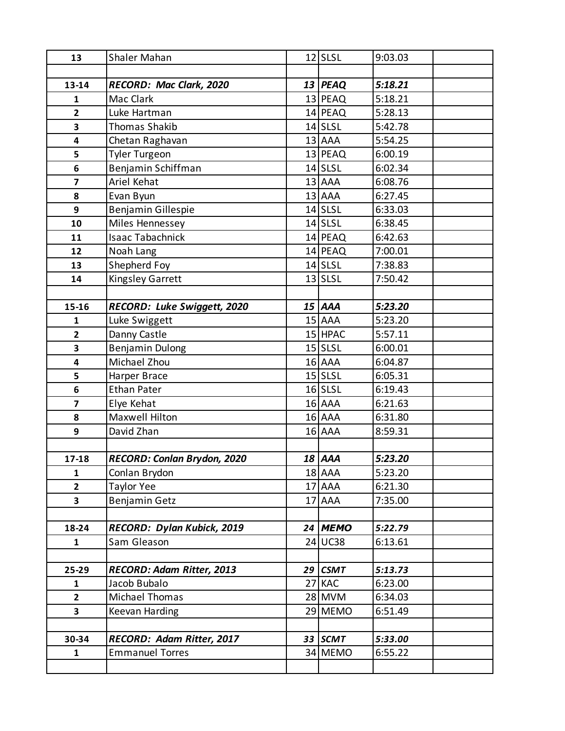| 13                      | <b>Shaler Mahan</b>         | $12$ SLSL  | 9:03.03 |
|-------------------------|-----------------------------|------------|---------|
|                         |                             |            |         |
| 13-14                   | RECORD: Mac Clark, 2020     | $13$ PEAQ  | 5:18.21 |
| 1                       | <b>Mac Clark</b>            | $13$ PEAQ  | 5:18.21 |
| $\overline{2}$          | Luke Hartman                | $14$ PEAQ  | 5:28.13 |
| 3                       | <b>Thomas Shakib</b>        | $14$ SLSL  | 5:42.78 |
| 4                       | Chetan Raghavan             | 13 AAA     | 5:54.25 |
| 5                       | <b>Tyler Turgeon</b>        | $13$ PEAQ  | 6:00.19 |
| 6                       | Benjamin Schiffman          | $14$ SLSL  | 6:02.34 |
| $\overline{7}$          | Ariel Kehat                 | 13 AAA     | 6:08.76 |
| 8                       | Evan Byun                   | 13 AAA     | 6:27.45 |
| 9                       | Benjamin Gillespie          | $14$ SLSL  | 6:33.03 |
| 10                      | Miles Hennessey             | $14$ SLSL  | 6:38.45 |
| 11                      | <b>Isaac Tabachnick</b>     | 14 PEAQ    | 6:42.63 |
| 12                      | Noah Lang                   | 14 PEAQ    | 7:00.01 |
| 13                      | Shepherd Foy                | $14$ SLSL  | 7:38.83 |
| 14                      | <b>Kingsley Garrett</b>     | $13$ SLSL  | 7:50.42 |
|                         |                             |            |         |
| 15-16                   | RECORD: Luke Swiggett, 2020 | $15$ $AAA$ | 5:23.20 |
| 1                       | Luke Swiggett               | 15 AAA     | 5:23.20 |
| $\overline{2}$          | Danny Castle                | $15$ HPAC  | 5:57.11 |
| 3                       | <b>Benjamin Dulong</b>      | $15$ SLSL  | 6:00.01 |
| $\overline{\mathbf{4}}$ | Michael Zhou                | 16 AAA     | 6:04.87 |
| 5                       | Harper Brace                | $15$ SLSL  | 6:05.31 |
| 6                       | <b>Ethan Pater</b>          | $16$ SLSL  | 6:19.43 |
| $\overline{7}$          | Elye Kehat                  | 16 AAA     | 6:21.63 |
| 8                       | Maxwell Hilton              | 16 AAA     | 6:31.80 |
| 9                       | David Zhan                  | 16 AAA     | 8:59.31 |
|                         |                             |            |         |
| 17-18                   | RECORD: Conlan Brydon, 2020 | 18 AAA     | 5:23.20 |
| 1                       | Conlan Brydon               | 18 AAA     | 5:23.20 |
| $\overline{2}$          | <b>Taylor Yee</b>           | 17 AAA     | 6:21.30 |
| $\overline{\mathbf{3}}$ | Benjamin Getz               | $17$ $AAA$ | 7:35.00 |
|                         |                             |            |         |
| 18-24                   | RECORD: Dylan Kubick, 2019  | 24 MEMO    | 5:22.79 |
| $\mathbf{1}$            | Sam Gleason                 | $24$ UC38  | 6:13.61 |
|                         |                             |            |         |
| 25-29                   | RECORD: Adam Ritter, 2013   | 29 $CSMT$  | 5:13.73 |
| 1                       | Jacob Bubalo                | 27 KAC     | 6:23.00 |
| $\overline{2}$          | Michael Thomas              | 28 MVM     | 6:34.03 |
| $\overline{\mathbf{3}}$ | Keevan Harding              | 29 MEMO    | 6:51.49 |
|                         |                             |            |         |
| 30-34                   | RECORD: Adam Ritter, 2017   | 33 SCMT    | 5:33.00 |
| 1                       | <b>Emmanuel Torres</b>      | 34 MEMO    | 6:55.22 |
|                         |                             |            |         |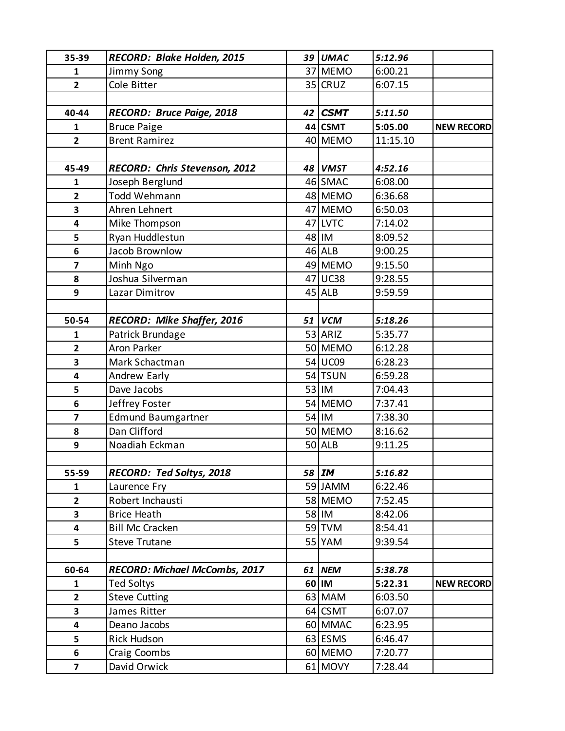| 35-39                   | RECORD: Blake Holden, 2015           |    | 39 UMAC       | 5:12.96  |                   |
|-------------------------|--------------------------------------|----|---------------|----------|-------------------|
| $\mathbf{1}$            | Jimmy Song                           |    | 37 MEMO       | 6:00.21  |                   |
| $\overline{2}$          | Cole Bitter                          |    | 35 CRUZ       | 6:07.15  |                   |
|                         |                                      |    |               |          |                   |
| 40-44                   | RECORD: Bruce Paige, 2018            | 42 | <b>CSMT</b>   | 5:11.50  |                   |
| $\mathbf{1}$            | <b>Bruce Paige</b>                   |    | 44 CSMT       | 5:05.00  | <b>NEW RECORD</b> |
| $\overline{2}$          | <b>Brent Ramirez</b>                 |    | 40 MEMO       | 11:15.10 |                   |
|                         |                                      |    |               |          |                   |
| 45-49                   | RECORD: Chris Stevenson, 2012        |    | 48 VMST       | 4:52.16  |                   |
| $\mathbf{1}$            | Joseph Berglund                      |    | 46 SMAC       | 6:08.00  |                   |
| $\overline{2}$          | Todd Wehmann                         |    | 48 MEMO       | 6:36.68  |                   |
| 3                       | Ahren Lehnert                        |    | 47 MEMO       | 6:50.03  |                   |
| 4                       | Mike Thompson                        |    | 47 LVTC       | 7:14.02  |                   |
| 5                       | Ryan Huddlestun                      |    | 48 IM         | 8:09.52  |                   |
| 6                       | Jacob Brownlow                       |    | $46$ ALB      | 9:00.25  |                   |
| $\overline{7}$          | Minh Ngo                             |    | 49 MEMO       | 9:15.50  |                   |
| 8                       | Joshua Silverman                     |    | 47 UC38       | 9:28.55  |                   |
| 9                       | Lazar Dimitrov                       |    | $45$ ALB      | 9:59.59  |                   |
|                         |                                      |    |               |          |                   |
| 50-54                   | RECORD: Mike Shaffer, 2016           | 51 | <b>VCM</b>    | 5:18.26  |                   |
| 1                       | Patrick Brundage                     |    | 53 ARIZ       | 5:35.77  |                   |
| $\overline{2}$          | <b>Aron Parker</b>                   |    | 50 MEMO       | 6:12.28  |                   |
| 3                       | Mark Schactman                       |    | 54 UC09       | 6:28.23  |                   |
| 4                       | Andrew Early                         |    | 54 TSUN       | 6:59.28  |                   |
| 5                       | Dave Jacobs                          |    | 53 IM         | 7:04.43  |                   |
| 6                       | Jeffrey Foster                       |    | 54 MEMO       | 7:37.41  |                   |
| $\overline{\mathbf{z}}$ | <b>Edmund Baumgartner</b>            |    | 54 IM         | 7:38.30  |                   |
| 8                       | Dan Clifford                         |    | 50 MEMO       | 8:16.62  |                   |
| 9                       | Noadiah Eckman                       |    | $50$ ALB      | 9:11.25  |                   |
|                         |                                      |    |               |          |                   |
| 55-59                   | RECORD: Ted Soltys, 2018             |    | 58 M          | 5:16.82  |                   |
| 1                       | Laurence Fry                         |    | 59 JAMM       | 6:22.46  |                   |
| $\overline{\mathbf{2}}$ | Robert Inchausti                     |    | 58 MEMO       | 7:52.45  |                   |
| 3                       | <b>Brice Heath</b>                   |    | 58 IM         | 8:42.06  |                   |
| 4                       | <b>Bill Mc Cracken</b>               |    | $59$ TVM      | 8:54.41  |                   |
| 5                       | <b>Steve Trutane</b>                 |    | <b>55 YAM</b> | 9:39.54  |                   |
|                         |                                      |    |               |          |                   |
| 60-64                   | <b>RECORD: Michael McCombs, 2017</b> | 61 | <b>NEM</b>    | 5:38.78  |                   |
| 1                       | Ted Soltys                           |    | 60 IM         | 5:22.31  | <b>NEW RECORD</b> |
| $\overline{2}$          | <b>Steve Cutting</b>                 |    | 63 MAM        | 6:03.50  |                   |
| 3                       | James Ritter                         |    | 64 CSMT       | 6:07.07  |                   |
| 4                       | Deano Jacobs                         |    | 60 MMAC       | 6:23.95  |                   |
| 5                       | <b>Rick Hudson</b>                   |    | 63 ESMS       | 6:46.47  |                   |
| 6                       | Craig Coombs                         |    | 60 MEMO       | 7:20.77  |                   |
| $\overline{\mathbf{z}}$ | David Orwick                         |    | 61 MOVY       | 7:28.44  |                   |